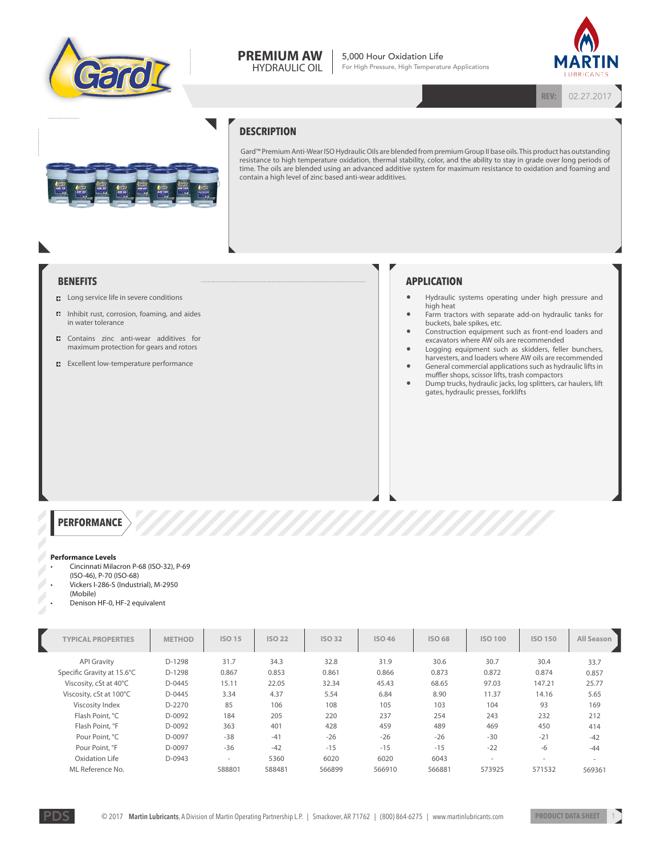

#### **PREMIUM AW** HYDRAULIC OIL

5,000 Hour Oxidation Life For High Pressure, High Temperature Applications



**REV:** 02.27.2017

**DESCRIPTION**

Gard™ Premium Anti-Wear ISO Hydraulic Oils are blended from premium Group II base oils. This product has outstanding resistance to high temperature oxidation, thermal stability, color, and the ability to stay in grade over long periods of time. The oils are blended using an advanced additive system for maximum resistance to oxidation and foaming and contain a high level of zinc based anti-wear additives.

## **BENEFITS**

- **B** Long service life in severe conditions
- Inhibit rust, corrosion, foaming, and aides in water tolerance
- **C** Contains zinc anti-wear additives for maximum protection for gears and rotors
- **Excellent low-temperature performance**

# **APPLICATION**

- Hydraulic systems operating under high pressure and high heat
- Farm tractors with separate add-on hydraulic tanks for buckets, bale spikes, etc.
- Construction equipment such as front-end loaders and excavators where AW oils are recommended
- Logging equipment such as skidders, feller bunchers, harvesters, and loaders where AW oils are recommended • General commercial applications such as hydraulic lifts in
- muffler shops, scissor lifts, trash compactors
- Dump trucks, hydraulic jacks, log splitters, car haulers, lift gates, hydraulic presses, forklifts

### **PERFORMANCE**

#### **Performance Levels**

- Cincinnati Milacron P-68 (ISO-32), P-69
- (ISO-46), P-70 (ISO-68)
- Vickers I-286-S (Industrial), M-2950 (Mobile)
- Denison HF-0, HF-2 equivalent

| <b>TYPICAL PROPERTIES</b>  | <b>METHOD</b> | <b>ISO 15</b> | <b>ISO 22</b> | <b>ISO 32</b> | <b>ISO 46</b> | <b>ISO 68</b> | <b>ISO 100</b> | <b>ISO 150</b> | All Season |
|----------------------------|---------------|---------------|---------------|---------------|---------------|---------------|----------------|----------------|------------|
| <b>API Gravity</b>         | D-1298        | 31.7          | 34.3          | 32.8          | 31.9          | 30.6          | 30.7           | 30.4           | 33.7       |
| Specific Gravity at 15.6°C | D-1298        | 0.867         | 0.853         | 0.861         | 0.866         | 0.873         | 0.872          | 0.874          | 0.857      |
| Viscosity, cSt at 40°C     | D-0445        | 15.11         | 22.05         | 32.34         | 45.43         | 68.65         | 97.03          | 147.21         | 25.77      |
| Viscosity, cSt at 100°C    | D-0445        | 3.34          | 4.37          | 5.54          | 6.84          | 8.90          | 11.37          | 14.16          | 5.65       |
| Viscosity Index            | D-2270        | 85            | 106           | 108           | 105           | 103           | 104            | 93             | 169        |
| Flash Point, °C            | D-0092        | 184           | 205           | 220           | 237           | 254           | 243            | 232            | 212        |
| Flash Point, °F            | D-0092        | 363           | 401           | 428           | 459           | 489           | 469            | 450            | 414        |
| Pour Point, °C             | D-0097        | $-38$         | $-41$         | $-26$         | $-26$         | $-26$         | $-30$          | $-21$          | $-42$      |
| Pour Point, °F             | D-0097        | $-36$         | $-42$         | $-15$         | $-15$         | $-15$         | $-22$          | $-6$           | $-44$      |
| Oxidation Life             | D-0943        | $\sim$        | 5360          | 6020          | 6020          | 6043          | $\sim$         | ÷.             | $\sim$     |
| ML Reference No.           |               | 588801        | 588481        | 566899        | 566910        | 566881        | 573925         | 571532         | 569361     |

 $\mathbb{Z}$ 

 $\mathbb{Z}$ 

Z

 $\mathbb{Z}$  $\mathbb{Z}$  $\mathbb{Z}$ 

 $\mathbb{Z}$